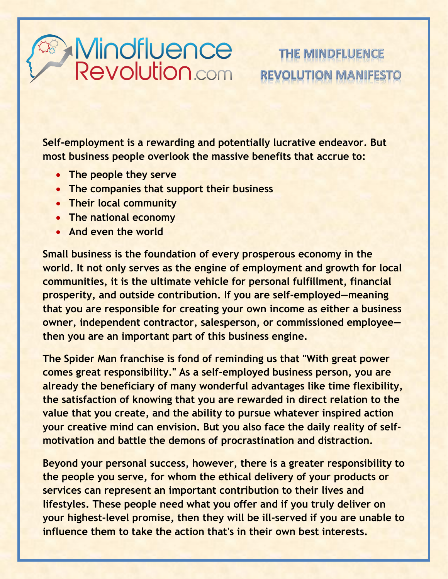## Mindfluence<br>Revolution.com

## THE MINDFLUENCE **REVOLUTION MANIFES**

**Self-employment is a rewarding and potentially lucrative endeavor. But most business people overlook the massive benefits that accrue to:**

- **The people they serve**
- **The companies that support their business**
- **Their local community**
- **The national economy**
- **And even the world**

**Small business is the foundation of every prosperous economy in the world. It not only serves as the engine of employment and growth for local communities, it is the ultimate vehicle for personal fulfillment, financial prosperity, and outside contribution. If you are self-employed—meaning that you are responsible for creating your own income as either a business owner, independent contractor, salesperson, or commissioned employee then you are an important part of this business engine.** 

**The Spider Man franchise is fond of reminding us that "With great power comes great responsibility." As a self-employed business person, you are already the beneficiary of many wonderful advantages like time flexibility, the satisfaction of knowing that you are rewarded in direct relation to the value that you create, and the ability to pursue whatever inspired action your creative mind can envision. But you also face the daily reality of selfmotivation and battle the demons of procrastination and distraction.** 

**Beyond your personal success, however, there is a greater responsibility to the people you serve, for whom the ethical delivery of your products or services can represent an important contribution to their lives and lifestyles. These people need what you offer and if you truly deliver on your highest-level promise, then they will be ill-served if you are unable to influence them to take the action that's in their own best interests.**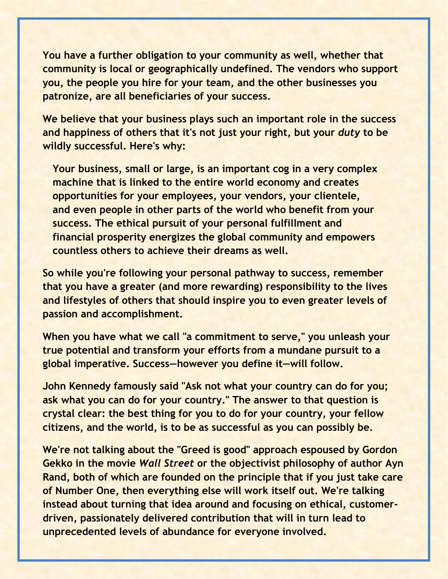**You have a further obligation to your community as well, whether that community is local or geographically undefined. The vendors who support you, the people you hire for your team, and the other businesses you patronize, are all beneficiaries of your success.** 

**We believe that your business plays such an important role in the success and happiness of others that it's not just your right, but your** *duty* **to be wildly successful. Here's why:**

**Your business, small or large, is an important cog in a very complex machine that is linked to the entire world economy and creates opportunities for your employees, your vendors, your clientele, and even people in other parts of the world who benefit from your success. The ethical pursuit of your personal fulfillment and financial prosperity energizes the global community and empowers countless others to achieve their dreams as well.** 

**So while you're following your personal pathway to success, remember that you have a greater (and more rewarding) responsibility to the lives and lifestyles of others that should inspire you to even greater levels of passion and accomplishment.** 

**When you have what we call "a commitment to serve," you unleash your true potential and transform your efforts from a mundane pursuit to a global imperative. Success—however you define it—will follow.** 

**John Kennedy famously said "Ask not what your country can do for you; ask what you can do for your country." The answer to that question is crystal clear: the best thing for you to do for your country, your fellow citizens, and the world, is to be as successful as you can possibly be.**

**We're not talking about the "Greed is good" approach espoused by Gordon Gekko in the movie** *Wall Street* **or the objectivist philosophy of author Ayn Rand, both of which are founded on the principle that if you just take care of Number One, then everything else will work itself out. We're talking instead about turning that idea around and focusing on ethical, customerdriven, passionately delivered contribution that will in turn lead to unprecedented levels of abundance for everyone involved.**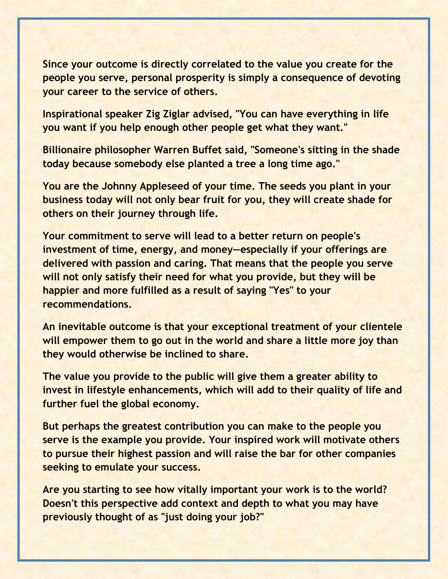**Since your outcome is directly correlated to the value you create for the people you serve, personal prosperity is simply a consequence of devoting your career to the service of others.**

**Inspirational speaker Zig Ziglar advised, "You can have everything in life you want if you help enough other people get what they want."** 

**Billionaire philosopher Warren Buffet said, "Someone's sitting in the shade today because somebody else planted a tree a long time ago."** 

**You are the Johnny Appleseed of your time. The seeds you plant in your business today will not only bear fruit for you, they will create shade for others on their journey through life.**

**Your commitment to serve will lead to a better return on people's investment of time, energy, and money—especially if your offerings are delivered with passion and caring. That means that the people you serve will not only satisfy their need for what you provide, but they will be happier and more fulfilled as a result of saying "Yes" to your recommendations.** 

**An inevitable outcome is that your exceptional treatment of your clientele will empower them to go out in the world and share a little more joy than they would otherwise be inclined to share.** 

**The value you provide to the public will give them a greater ability to invest in lifestyle enhancements, which will add to their quality of life and further fuel the global economy.** 

**But perhaps the greatest contribution you can make to the people you serve is the example you provide. Your inspired work will motivate others to pursue their highest passion and will raise the bar for other companies seeking to emulate your success.** 

**Are you starting to see how vitally important your work is to the world? Doesn't this perspective add context and depth to what you may have previously thought of as "just doing your job?"**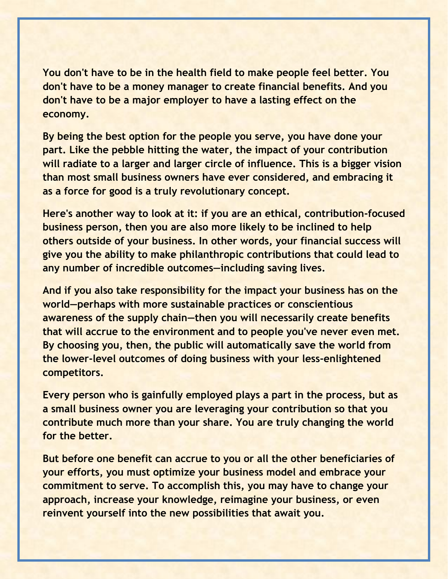**You don't have to be in the health field to make people feel better. You don't have to be a money manager to create financial benefits. And you don't have to be a major employer to have a lasting effect on the economy.** 

**By being the best option for the people you serve, you have done your part. Like the pebble hitting the water, the impact of your contribution will radiate to a larger and larger circle of influence. This is a bigger vision than most small business owners have ever considered, and embracing it as a force for good is a truly revolutionary concept.** 

**Here's another way to look at it: if you are an ethical, contribution-focused business person, then you are also more likely to be inclined to help others outside of your business. In other words, your financial success will give you the ability to make philanthropic contributions that could lead to any number of incredible outcomes—including saving lives.** 

**And if you also take responsibility for the impact your business has on the world—perhaps with more sustainable practices or conscientious awareness of the supply chain—then you will necessarily create benefits that will accrue to the environment and to people you've never even met. By choosing you, then, the public will automatically save the world from the lower-level outcomes of doing business with your less-enlightened competitors.** 

**Every person who is gainfully employed plays a part in the process, but as a small business owner you are leveraging your contribution so that you contribute much more than your share. You are truly changing the world for the better.** 

**But before one benefit can accrue to you or all the other beneficiaries of your efforts, you must optimize your business model and embrace your commitment to serve. To accomplish this, you may have to change your approach, increase your knowledge, reimagine your business, or even reinvent yourself into the new possibilities that await you.**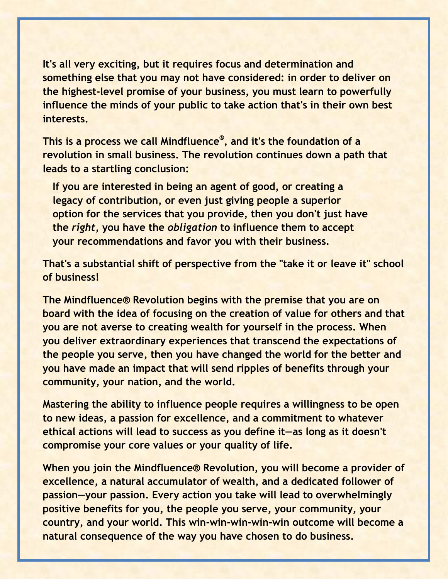**It's all very exciting, but it requires focus and determination and something else that you may not have considered: in order to deliver on the highest-level promise of your business, you must learn to powerfully influence the minds of your public to take action that's in their own best interests.** 

**This is a process we call Mindfluence® , and it's the foundation of a revolution in small business. The revolution continues down a path that leads to a startling conclusion:** 

**If you are interested in being an agent of good, or creating a legacy of contribution, or even just giving people a superior option for the services that you provide, then you don't just have the** *right***, you have the** *obligation* **to influence them to accept your recommendations and favor you with their business.** 

**That's a substantial shift of perspective from the "take it or leave it" school of business!**

**The Mindfluence® Revolution begins with the premise that you are on board with the idea of focusing on the creation of value for others and that you are not averse to creating wealth for yourself in the process. When you deliver extraordinary experiences that transcend the expectations of the people you serve, then you have changed the world for the better and you have made an impact that will send ripples of benefits through your community, your nation, and the world.** 

**Mastering the ability to influence people requires a willingness to be open to new ideas, a passion for excellence, and a commitment to whatever ethical actions will lead to success as you define it—as long as it doesn't compromise your core values or your quality of life.**

**When you join the Mindfluence® Revolution, you will become a provider of excellence, a natural accumulator of wealth, and a dedicated follower of passion—your passion. Every action you take will lead to overwhelmingly positive benefits for you, the people you serve, your community, your country, and your world. This win-win-win-win-win outcome will become a natural consequence of the way you have chosen to do business.**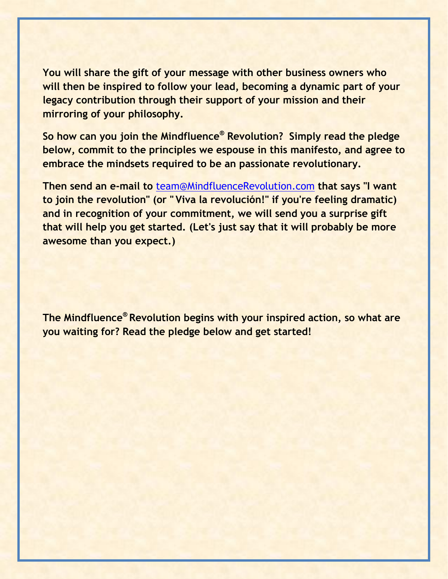**You will share the gift of your message with other business owners who will then be inspired to follow your lead, becoming a dynamic part of your legacy contribution through their support of your mission and their mirroring of your philosophy.**

**So how can you join the Mindfluence® Revolution? Simply read the pledge below, commit to the principles we espouse in this manifesto, and agree to embrace the mindsets required to be an passionate revolutionary.** 

**Then send an e-mail to** [team@MindfluenceRevolution.com](mailto:team@MindfluenceRevolution.com) **that says "I want to join the revolution" (or " Viva la revolución!" if you're feeling dramatic) and in recognition of your commitment, we will send you a surprise gift that will help you get started. (Let's just say that it will probably be more awesome than you expect.)**

**The Mindfluence® Revolution begins with your inspired action, so what are you waiting for? Read the pledge below and get started!**